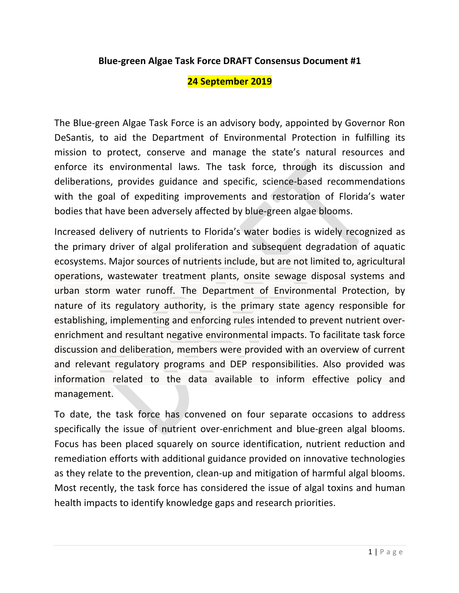## **Blue-green Algae Task Force DRAFT Consensus Document #1**

### **24 September 2019**

The Blue-green Algae Task Force is an advisory body, appointed by Governor Ron DeSantis, to aid the Department of Environmental Protection in fulfilling its mission to protect, conserve and manage the state's natural resources and enforce its environmental laws. The task force, through its discussion and deliberations, provides guidance and specific, science-based recommendations with the goal of expediting improvements and restoration of Florida's water bodies that have been adversely affected by blue-green algae blooms.

Increased delivery of nutrients to Florida's water bodies is widely recognized as the primary driver of algal proliferation and subsequent degradation of aquatic ecosystems. Major sources of nutrients include, but are not limited to, agricultural operations, wastewater treatment plants, onsite sewage disposal systems and urban storm water runoff. The Department of Environmental Protection, by nature of its regulatory authority, is the primary state agency responsible for establishing, implementing and enforcing rules intended to prevent nutrient overenrichment and resultant negative environmental impacts. To facilitate task force discussion and deliberation, members were provided with an overview of current and relevant regulatory programs and DEP responsibilities. Also provided was information related to the data available to inform effective policy and management. 

To date, the task force has convened on four separate occasions to address specifically the issue of nutrient over-enrichment and blue-green algal blooms. Focus has been placed squarely on source identification, nutrient reduction and remediation efforts with additional guidance provided on innovative technologies as they relate to the prevention, clean-up and mitigation of harmful algal blooms. Most recently, the task force has considered the issue of algal toxins and human health impacts to identify knowledge gaps and research priorities.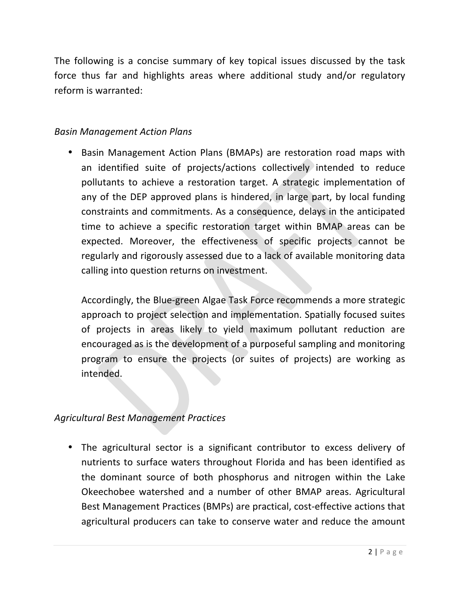The following is a concise summary of key topical issues discussed by the task force thus far and highlights areas where additional study and/or regulatory reform is warranted:

## *Basin Management Action Plans*

• Basin Management Action Plans (BMAPs) are restoration road maps with an identified suite of projects/actions collectively intended to reduce pollutants to achieve a restoration target. A strategic implementation of any of the DEP approved plans is hindered, in large part, by local funding constraints and commitments. As a consequence, delays in the anticipated time to achieve a specific restoration target within BMAP areas can be expected. Moreover, the effectiveness of specific projects cannot be regularly and rigorously assessed due to a lack of available monitoring data calling into question returns on investment.

Accordingly, the Blue-green Algae Task Force recommends a more strategic approach to project selection and implementation. Spatially focused suites of projects in areas likely to yield maximum pollutant reduction are encouraged as is the development of a purposeful sampling and monitoring program to ensure the projects (or suites of projects) are working as intended.

### *Agricultural Best Management Practices*

• The agricultural sector is a significant contributor to excess delivery of nutrients to surface waters throughout Florida and has been identified as the dominant source of both phosphorus and nitrogen within the Lake Okeechobee watershed and a number of other BMAP areas. Agricultural Best Management Practices (BMPs) are practical, cost-effective actions that agricultural producers can take to conserve water and reduce the amount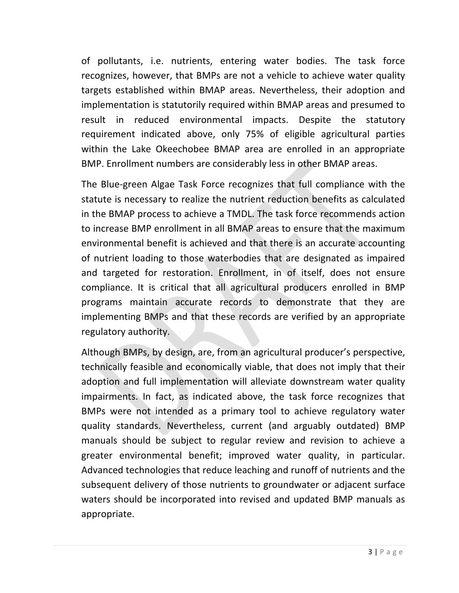of pollutants, i.e. nutrients, entering water bodies. The task force recognizes, however, that BMPs are not a vehicle to achieve water quality targets established within BMAP areas. Nevertheless, their adoption and implementation is statutorily required within BMAP areas and presumed to result in reduced environmental impacts. Despite the statutory requirement indicated above, only 75% of eligible agricultural parties within the Lake Okeechobee BMAP area are enrolled in an appropriate BMP. Enrollment numbers are considerably less in other BMAP areas.

The Blue-green Algae Task Force recognizes that full compliance with the statute is necessary to realize the nutrient reduction benefits as calculated in the BMAP process to achieve a TMDL. The task force recommends action to increase BMP enrollment in all BMAP areas to ensure that the maximum environmental benefit is achieved and that there is an accurate accounting of nutrient loading to those waterbodies that are designated as impaired and targeted for restoration. Enrollment, in of itself, does not ensure compliance. It is critical that all agricultural producers enrolled in BMP programs maintain accurate records to demonstrate that they are implementing BMPs and that these records are verified by an appropriate regulatory authority.

Although BMPs, by design, are, from an agricultural producer's perspective, technically feasible and economically viable, that does not imply that their adoption and full implementation will alleviate downstream water quality impairments. In fact, as indicated above, the task force recognizes that BMPs were not intended as a primary tool to achieve regulatory water quality standards. Nevertheless, current (and arguably outdated) BMP manuals should be subject to regular review and revision to achieve a greater environmental benefit; improved water quality, in particular. Advanced technologies that reduce leaching and runoff of nutrients and the subsequent delivery of those nutrients to groundwater or adjacent surface waters should be incorporated into revised and updated BMP manuals as appropriate.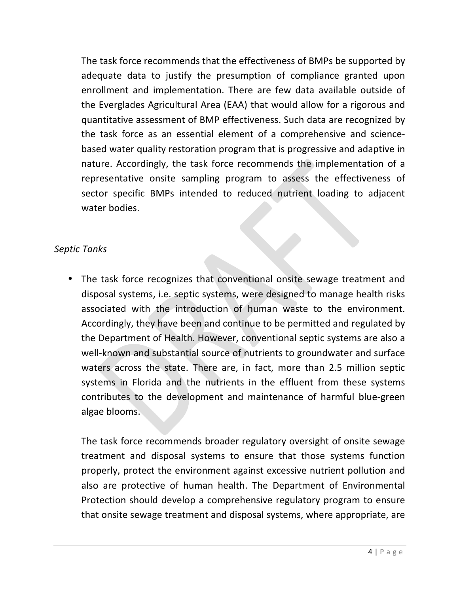The task force recommends that the effectiveness of BMPs be supported by adequate data to justify the presumption of compliance granted upon enrollment and implementation. There are few data available outside of the Everglades Agricultural Area (EAA) that would allow for a rigorous and guantitative assessment of BMP effectiveness. Such data are recognized by the task force as an essential element of a comprehensive and sciencebased water quality restoration program that is progressive and adaptive in nature. Accordingly, the task force recommends the implementation of a representative onsite sampling program to assess the effectiveness of sector specific BMPs intended to reduced nutrient loading to adjacent water bodies.

### *Septic Tanks*

• The task force recognizes that conventional onsite sewage treatment and disposal systems, i.e. septic systems, were designed to manage health risks associated with the introduction of human waste to the environment. Accordingly, they have been and continue to be permitted and regulated by the Department of Health. However, conventional septic systems are also a well-known and substantial source of nutrients to groundwater and surface waters across the state. There are, in fact, more than 2.5 million septic systems in Florida and the nutrients in the effluent from these systems contributes to the development and maintenance of harmful blue-green algae blooms. 

The task force recommends broader regulatory oversight of onsite sewage treatment and disposal systems to ensure that those systems function properly, protect the environment against excessive nutrient pollution and also are protective of human health. The Department of Environmental Protection should develop a comprehensive regulatory program to ensure that onsite sewage treatment and disposal systems, where appropriate, are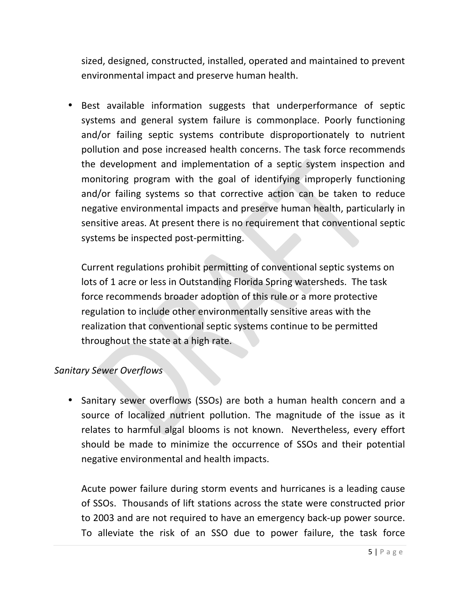sized, designed, constructed, installed, operated and maintained to prevent environmental impact and preserve human health.

• Best available information suggests that underperformance of septic systems and general system failure is commonplace. Poorly functioning and/or failing septic systems contribute disproportionately to nutrient pollution and pose increased health concerns. The task force recommends the development and implementation of a septic system inspection and monitoring program with the goal of identifying improperly functioning and/or failing systems so that corrective action can be taken to reduce negative environmental impacts and preserve human health, particularly in sensitive areas. At present there is no requirement that conventional septic systems be inspected post-permitting.

Current regulations prohibit permitting of conventional septic systems on lots of 1 acre or less in Outstanding Florida Spring watersheds. The task force recommends broader adoption of this rule or a more protective regulation to include other environmentally sensitive areas with the realization that conventional septic systems continue to be permitted throughout the state at a high rate.

### *Sanitary Sewer Overflows*

• Sanitary sewer overflows (SSOs) are both a human health concern and a source of localized nutrient pollution. The magnitude of the issue as it relates to harmful algal blooms is not known. Nevertheless, every effort should be made to minimize the occurrence of SSOs and their potential negative environmental and health impacts.

Acute power failure during storm events and hurricanes is a leading cause of SSOs. Thousands of lift stations across the state were constructed prior to 2003 and are not required to have an emergency back-up power source. To alleviate the risk of an SSO due to power failure, the task force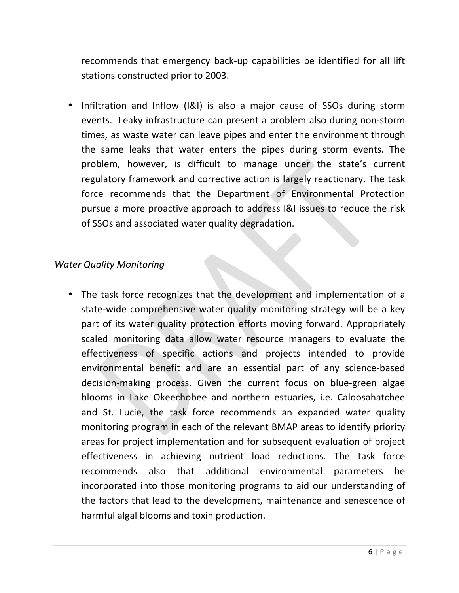recommends that emergency back-up capabilities be identified for all lift stations constructed prior to 2003.

• Infiltration and Inflow (I&I) is also a major cause of SSOs during storm events. Leaky infrastructure can present a problem also during non-storm times, as waste water can leave pipes and enter the environment through the same leaks that water enters the pipes during storm events. The problem, however, is difficult to manage under the state's current regulatory framework and corrective action is largely reactionary. The task force recommends that the Department of Environmental Protection pursue a more proactive approach to address I&I issues to reduce the risk of SSOs and associated water quality degradation.

### *Water Quality Monitoring*

• The task force recognizes that the development and implementation of a state-wide comprehensive water quality monitoring strategy will be a key part of its water quality protection efforts moving forward. Appropriately scaled monitoring data allow water resource managers to evaluate the effectiveness of specific actions and projects intended to provide environmental benefit and are an essential part of any science-based decision-making process. Given the current focus on blue-green algae blooms in Lake Okeechobee and northern estuaries, i.e. Caloosahatchee and St. Lucie, the task force recommends an expanded water quality monitoring program in each of the relevant BMAP areas to identify priority areas for project implementation and for subsequent evaluation of project effectiveness in achieving nutrient load reductions. The task force recommends also that additional environmental parameters be incorporated into those monitoring programs to aid our understanding of the factors that lead to the development, maintenance and senescence of harmful algal blooms and toxin production.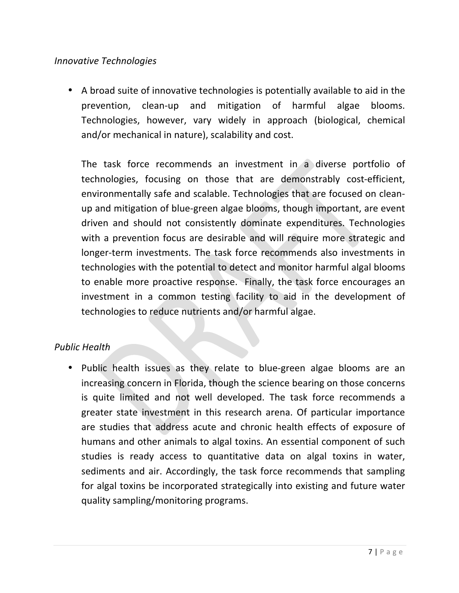#### *Innovative Technologies*

• A broad suite of innovative technologies is potentially available to aid in the prevention, clean-up and mitigation of harmful algae blooms. Technologies, however, vary widely in approach (biological, chemical and/or mechanical in nature), scalability and cost.

The task force recommends an investment in a diverse portfolio of technologies, focusing on those that are demonstrably cost-efficient, environmentally safe and scalable. Technologies that are focused on cleanup and mitigation of blue-green algae blooms, though important, are event driven and should not consistently dominate expenditures. Technologies with a prevention focus are desirable and will require more strategic and longer-term investments. The task force recommends also investments in technologies with the potential to detect and monitor harmful algal blooms to enable more proactive response. Finally, the task force encourages an investment in a common testing facility to aid in the development of technologies to reduce nutrients and/or harmful algae.

### **Public Health**

• Public health issues as they relate to blue-green algae blooms are an increasing concern in Florida, though the science bearing on those concerns is quite limited and not well developed. The task force recommends a greater state investment in this research arena. Of particular importance are studies that address acute and chronic health effects of exposure of humans and other animals to algal toxins. An essential component of such studies is ready access to quantitative data on algal toxins in water, sediments and air. Accordingly, the task force recommends that sampling for algal toxins be incorporated strategically into existing and future water quality sampling/monitoring programs.